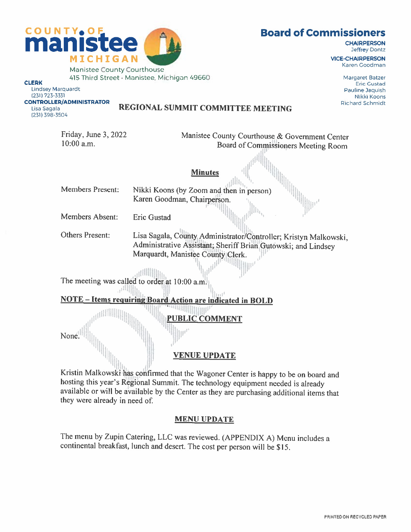Karen Goodman

LinDsey Marquardt Pauline Jaqusn (231) 723-3331 Nikki Koons

{231) 398-3504

### CONTROLLERfADMINISTRATOR Richard Schmdt Lisa sagala REGIONAL SUMMIT COMMITTEE MEETiNG

Friday, June 3, 2022<br>Manistee County Courthouse & Government Center<br>Roard of Commissioners Macting Board Board of Commissioners Meeting Room

0

**Minutes** 

41111h Members Present: Nikki Koons (by Zoom and then in person)<br>Karen Goodman, Chairperson.

Members Absent: Eric Gustad

Others Present: Lisa Sagala, County Administrator/Controller; Kristyn Malkowski, Administrative Assistant; Sheriff Brian Gutowski; and Lindsey Marquardt, Manistee County Clerk.

i<sub>k. o</sub>p<sup>e mu</sup>llin

The meeting was called to order at  $10:00$  a.m.

NOTE – Items requiring Board Action are indicated in BOLD

**THRAINING JBLIC COMMENT** 

None<sup>[1]</sup>

### VENUE UPDATE

ii [ Kristin Malkowski has confirmed that the Wagoner Center is happy to be on board and hosting this year's Regional Summit. The technology equipment needed is already available or will be available by the Center as they are purchasing additional items that they were already in need of

### MENU UPDATE

The menu by Zupin Catering. LLC was reviewed. (APPENDIX A) Menu includes <sup>a</sup> continental breakfast, lunch and desert. The cost per person will be \$15.

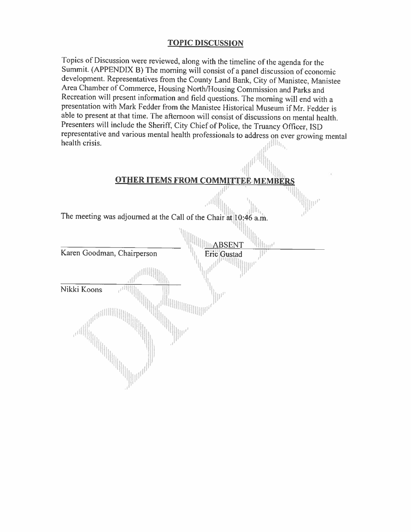### TOPIC DISCUSSION

Topics of Discussion were reviewed, along with the timeline of the agenda for the Summit. (APPENDIX B) The morning will consist of <sup>a</sup> panel discussion of economic development. Representatives from the County Land Bank. City of Manistee. Manistee Area Chamber of Commerce, Housing North/Housing Commission and Parks and Recreation will present information and field questions. The morning will end with <sup>a</sup> presentation with Mark Fedder from the Manistee Flistorical Museum if Mr. Fedder is able to present at that time. The afternoon will consist of discussions on mental health. Presenters will include the Sheriff, City Chief of Police, the Truancy Officer, ISD representative and various mental health professionals to address on ever growing mental health crisis.

### **OTHER ITEMS FROM COMMITTEE MEMBE**

The meeting was adjourned at the Call of the Chair at 10:46 a.m.

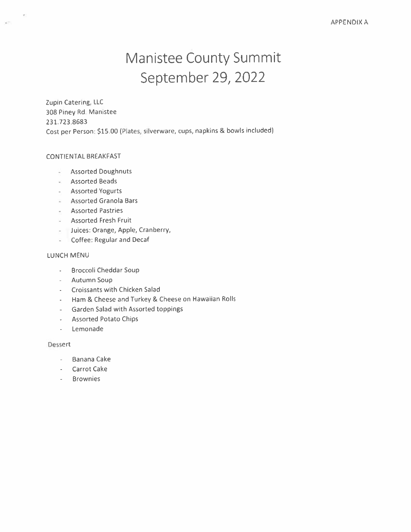# Manistee County Summit September 29, 2022

Zupin Catering, LLC 308 Piney Rd. Manistee 231.723.8683 Cost per Person: \$15.00 (Plates, silverware, cups, napkins & bowls included)

### CONTIENTAL BREAKFAST

 $\langle \phi(t) \rangle$ 

- Assorted Doughnuts
- Assorted Beads
- Assorted Yogurts
- $\blacksquare$  Assorted Granola Bars
- Assorted Pastries
- Assorted Fresh Fruit
- Juices: Orange, Apple, Cranberry,
- Coffee: Regular and Decal

### LUNCH MENU

- Broccoli Cheddar Soup
- Autumn Soup
- Croissants with Chicken Salad
- Ham & Cheese and Turkey & Cheese on Hawaiian Rolls
- Garden Salad with Assorted toppings
- Assorted Potato Chips
- Lemonade

### Dessert

- Banana Cake
- Carrot Cake
- Brownies